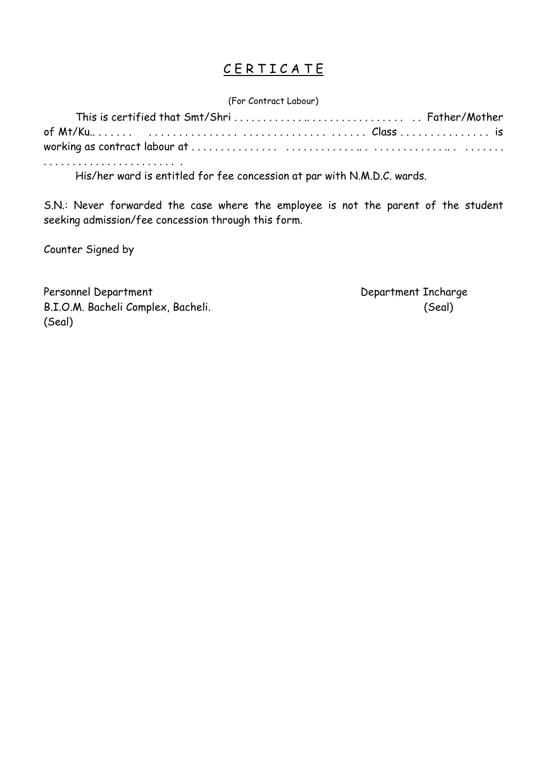#### CERTICATE

(For Contract Labour)

. . . . . . . . . . . . . . . . . . . . . . . .

His/her ward is entitled for fee concession at par with N.M.D.C. wards.

S.N.: Never forwarded the case where the employee is not the parent of the student seeking admission/fee concession through this form.

Counter Signed by

Personnel Department Department Incharge B.I.O.M. Bacheli Complex, Bacheli. (Seal) (Seal)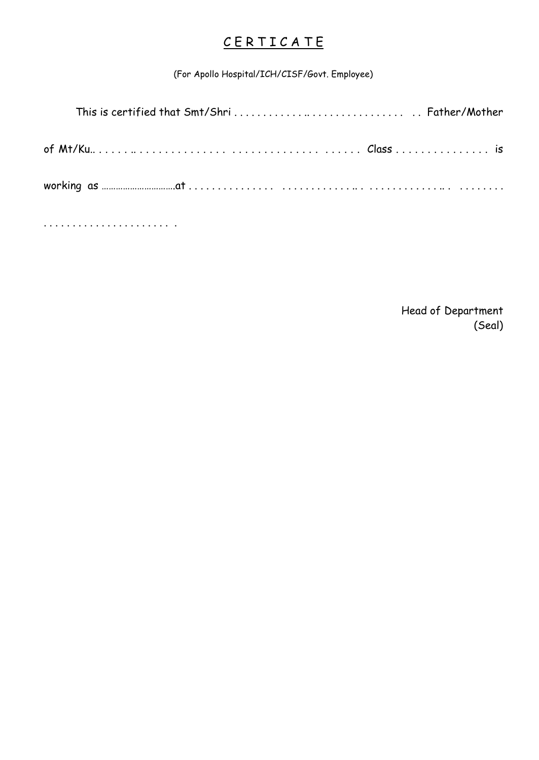## C E R T I C A T E

(For Apollo Hospital/ICH/CISF/Govt. Employee)

. . . . . . . . . . . . . . . . . . . . . . .

 Head of Department (Seal)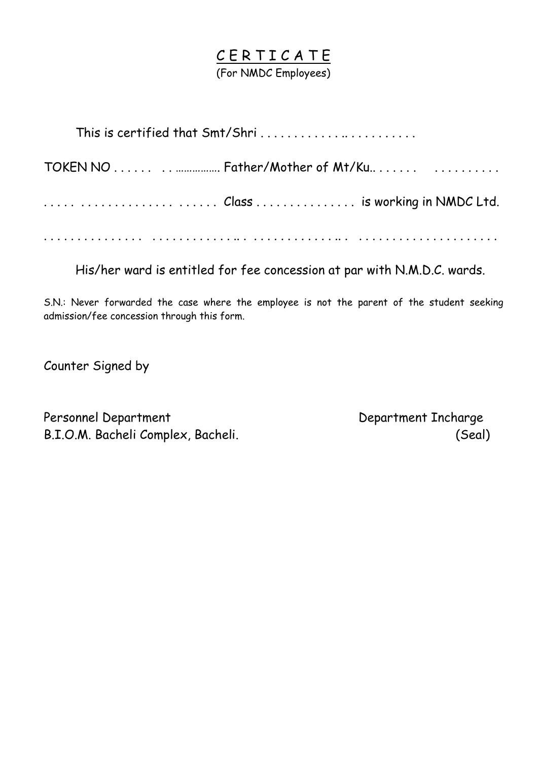#### C E R T I C A T E (For NMDC Employees)

TOKEN NO . . . . . . . . ……………. Father/Mother of Mt/Ku.. . . . . . . . . . . . . . . . . . . . . . . . . . . . . . . . . . . . . . . . . . Class . . . . . . . . . . . . . . . is working in NMDC Ltd.

. . . . . . . . . . . . . . . . . . . . . . . . . . . .. . . . . . . . . . . . . . .. . . . . . . . . . . . . . . . . . . . . . .

His/her ward is entitled for fee concession at par with N.M.D.C. wards.

S.N.: Never forwarded the case where the employee is not the parent of the student seeking admission/fee concession through this form.

Counter Signed by

Personnel Department Department Incharge B.I.O.M. Bacheli Complex, Bacheli. (Seal)